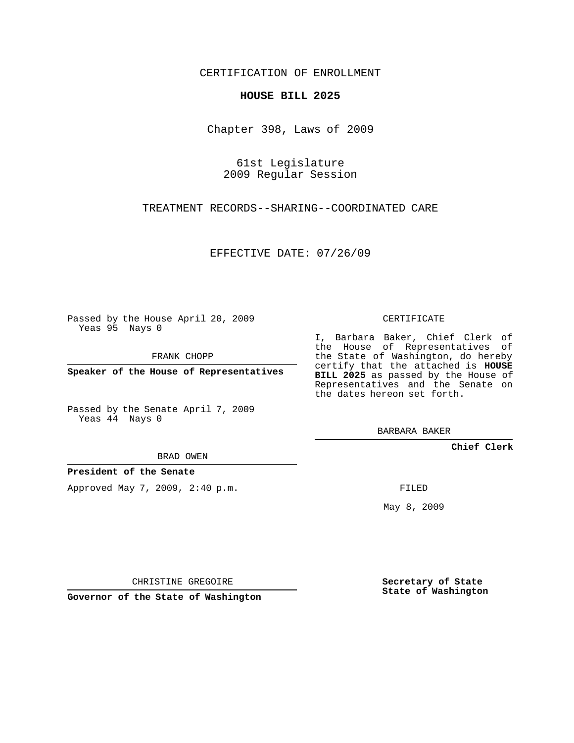## CERTIFICATION OF ENROLLMENT

## **HOUSE BILL 2025**

Chapter 398, Laws of 2009

61st Legislature 2009 Regular Session

TREATMENT RECORDS--SHARING--COORDINATED CARE

EFFECTIVE DATE: 07/26/09

Passed by the House April 20, 2009 Yeas 95 Nays 0

FRANK CHOPP

**Speaker of the House of Representatives**

Passed by the Senate April 7, 2009 Yeas 44 Nays 0

BRAD OWEN

**President of the Senate**

Approved May 7, 2009, 2:40 p.m.

CERTIFICATE

I, Barbara Baker, Chief Clerk of the House of Representatives of the State of Washington, do hereby certify that the attached is **HOUSE BILL 2025** as passed by the House of Representatives and the Senate on the dates hereon set forth.

BARBARA BAKER

**Chief Clerk**

FILED

May 8, 2009

CHRISTINE GREGOIRE

**Governor of the State of Washington**

**Secretary of State State of Washington**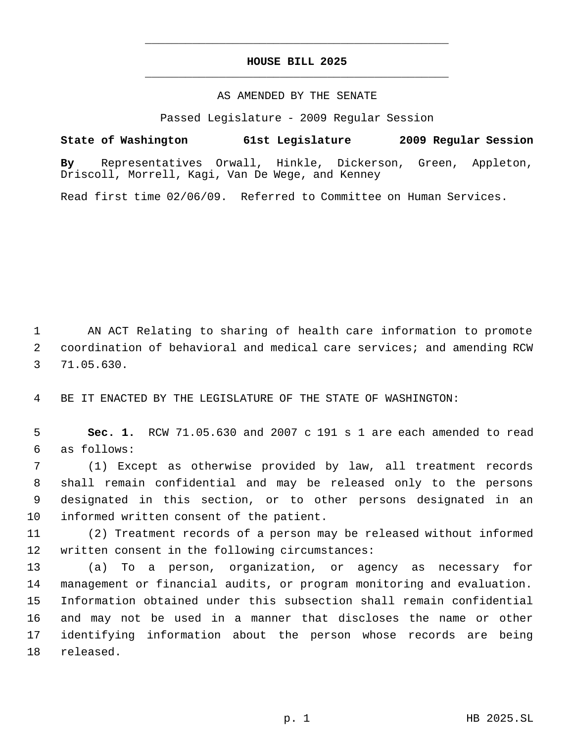## **HOUSE BILL 2025** \_\_\_\_\_\_\_\_\_\_\_\_\_\_\_\_\_\_\_\_\_\_\_\_\_\_\_\_\_\_\_\_\_\_\_\_\_\_\_\_\_\_\_\_\_

\_\_\_\_\_\_\_\_\_\_\_\_\_\_\_\_\_\_\_\_\_\_\_\_\_\_\_\_\_\_\_\_\_\_\_\_\_\_\_\_\_\_\_\_\_

## AS AMENDED BY THE SENATE

Passed Legislature - 2009 Regular Session

**State of Washington 61st Legislature 2009 Regular Session By** Representatives Orwall, Hinkle, Dickerson, Green, Appleton, Driscoll, Morrell, Kagi, Van De Wege, and Kenney

Read first time 02/06/09. Referred to Committee on Human Services.

 AN ACT Relating to sharing of health care information to promote coordination of behavioral and medical care services; and amending RCW 71.05.630.

BE IT ENACTED BY THE LEGISLATURE OF THE STATE OF WASHINGTON:

 **Sec. 1.** RCW 71.05.630 and 2007 c 191 s 1 are each amended to read as follows:

 (1) Except as otherwise provided by law, all treatment records shall remain confidential and may be released only to the persons designated in this section, or to other persons designated in an informed written consent of the patient.

 (2) Treatment records of a person may be released without informed written consent in the following circumstances:

 (a) To a person, organization, or agency as necessary for management or financial audits, or program monitoring and evaluation. Information obtained under this subsection shall remain confidential and may not be used in a manner that discloses the name or other identifying information about the person whose records are being released.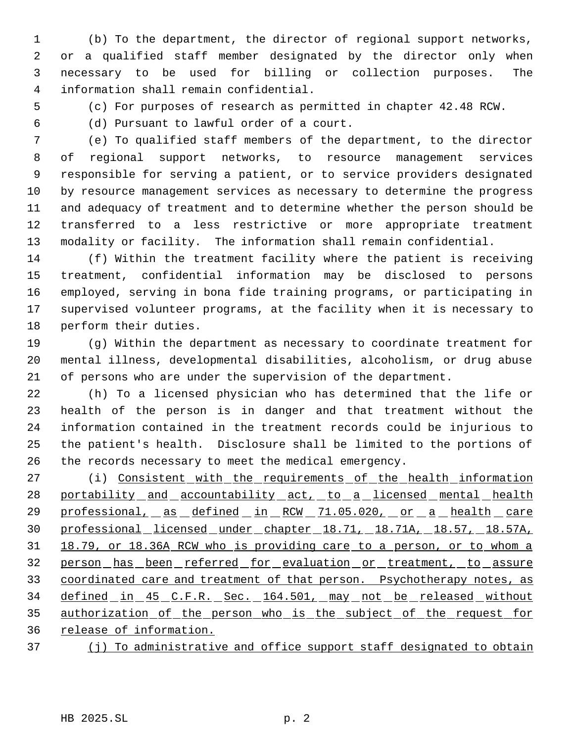(b) To the department, the director of regional support networks, or a qualified staff member designated by the director only when necessary to be used for billing or collection purposes. The information shall remain confidential.

(c) For purposes of research as permitted in chapter 42.48 RCW.

(d) Pursuant to lawful order of a court.

 (e) To qualified staff members of the department, to the director of regional support networks, to resource management services responsible for serving a patient, or to service providers designated by resource management services as necessary to determine the progress and adequacy of treatment and to determine whether the person should be transferred to a less restrictive or more appropriate treatment modality or facility. The information shall remain confidential.

 (f) Within the treatment facility where the patient is receiving treatment, confidential information may be disclosed to persons employed, serving in bona fide training programs, or participating in supervised volunteer programs, at the facility when it is necessary to perform their duties.

 (g) Within the department as necessary to coordinate treatment for mental illness, developmental disabilities, alcoholism, or drug abuse of persons who are under the supervision of the department.

 (h) To a licensed physician who has determined that the life or health of the person is in danger and that treatment without the information contained in the treatment records could be injurious to the patient's health. Disclosure shall be limited to the portions of the records necessary to meet the medical emergency.

27 (i) Consistent with the requirements of the health information 28 portability and accountability act, to a licensed mental health 29 professional, as defined in RCW 71.05.020, or a health care professional licensed under chapter 18.71, 18.71A, 18.57, 18.57A, 18.79, or 18.36A RCW who is providing care to a person, or to whom a person has been referred for evaluation or treatment, to assure 33 coordinated care and treatment of that person. Psychotherapy notes, as 34 defined in 45 C.F.R. Sec. 164.501, may not be released without authorization of the person who is the subject of the request for release of information.

37 (j) To administrative and office support staff designated to obtain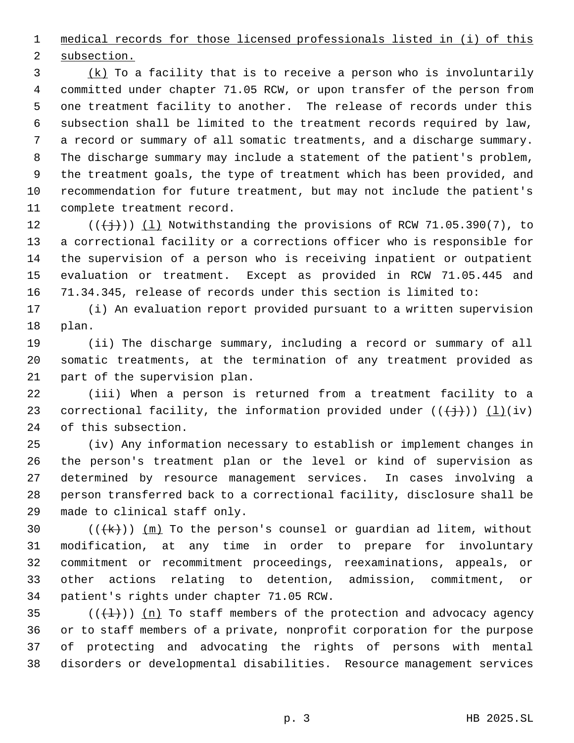medical records for those licensed professionals listed in (i) of this subsection.

 $\frac{1}{2}$  (k) To a facility that is to receive a person who is involuntarily committed under chapter 71.05 RCW, or upon transfer of the person from one treatment facility to another. The release of records under this subsection shall be limited to the treatment records required by law, a record or summary of all somatic treatments, and a discharge summary. The discharge summary may include a statement of the patient's problem, the treatment goals, the type of treatment which has been provided, and recommendation for future treatment, but may not include the patient's complete treatment record.

 $((\n\digamma)(\n\digamma)(\n\digamma)(\n\digamma)(\n\digamma)(\n\digamma)(\n\digamma)(\n\digamma)(\n\digamma)(\n\digamma)(\n\digamma)(\n\digamma)(\n\digamma)(\n\digamma)(\n\digamma)(\n\digamma)(\n\digamma)(\n\digamma)(\n\digamma)(\n\digamma)(\n\digamma)(\n\digamma)(\n\digamma)(\n\digamma)(\n\digamma)(\n\digamma)(\n\digamma)(\n\digamma)(\n\digamma)(\n\digamma)(\n\digamma)(\n\digamma)(\n\digamma)(\n\digamma)(\n\digamma)(\n\digamma)($  a correctional facility or a corrections officer who is responsible for the supervision of a person who is receiving inpatient or outpatient evaluation or treatment. Except as provided in RCW 71.05.445 and 71.34.345, release of records under this section is limited to:

 (i) An evaluation report provided pursuant to a written supervision plan.

 (ii) The discharge summary, including a record or summary of all somatic treatments, at the termination of any treatment provided as part of the supervision plan.

 (iii) When a person is returned from a treatment facility to a 23 correctional facility, the information provided under  $((\overleftrightarrow{}))(i\overleftrightarrow{)}$ of this subsection.

 (iv) Any information necessary to establish or implement changes in the person's treatment plan or the level or kind of supervision as determined by resource management services. In cases involving a person transferred back to a correctional facility, disclosure shall be made to clinical staff only.

 $((+k))$   $(m)$  To the person's counsel or guardian ad litem, without modification, at any time in order to prepare for involuntary commitment or recommitment proceedings, reexaminations, appeals, or other actions relating to detention, admission, commitment, or patient's rights under chapter 71.05 RCW.

 $((+1))$  (n) To staff members of the protection and advocacy agency or to staff members of a private, nonprofit corporation for the purpose of protecting and advocating the rights of persons with mental disorders or developmental disabilities. Resource management services